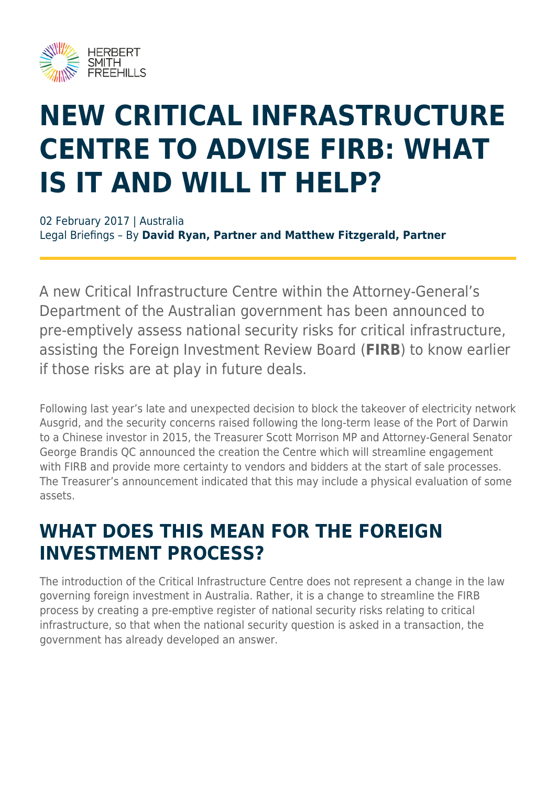

# **NEW CRITICAL INFRASTRUCTURE CENTRE TO ADVISE FIRB: WHAT IS IT AND WILL IT HELP?**

02 February 2017 | Australia Legal Briefings – By **David Ryan, Partner and Matthew Fitzgerald, Partner**

A new Critical Infrastructure Centre within the Attorney-General's Department of the Australian government has been announced to pre-emptively assess national security risks for critical infrastructure, assisting the Foreign Investment Review Board (**FIRB**) to know earlier if those risks are at play in future deals.

Following last year's late and unexpected decision to block the takeover of electricity network Ausgrid, and the security concerns raised following the long-term lease of the Port of Darwin to a Chinese investor in 2015, the Treasurer Scott Morrison MP and Attorney-General Senator George Brandis QC announced the creation the Centre which will streamline engagement with FIRB and provide more certainty to vendors and bidders at the start of sale processes. The Treasurer's announcement indicated that this may include a physical evaluation of some assets.

#### **WHAT DOES THIS MEAN FOR THE FOREIGN INVESTMENT PROCESS?**

The introduction of the Critical Infrastructure Centre does not represent a change in the law governing foreign investment in Australia. Rather, it is a change to streamline the FIRB process by creating a pre-emptive register of national security risks relating to critical infrastructure, so that when the national security question is asked in a transaction, the government has already developed an answer.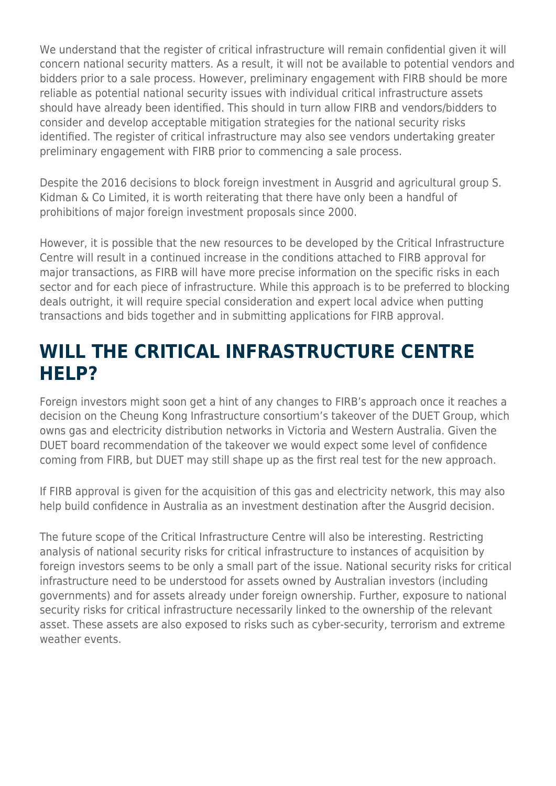We understand that the register of critical infrastructure will remain confidential given it will concern national security matters. As a result, it will not be available to potential vendors and bidders prior to a sale process. However, preliminary engagement with FIRB should be more reliable as potential national security issues with individual critical infrastructure assets should have already been identified. This should in turn allow FIRB and vendors/bidders to consider and develop acceptable mitigation strategies for the national security risks identified. The register of critical infrastructure may also see vendors undertaking greater preliminary engagement with FIRB prior to commencing a sale process.

Despite the 2016 decisions to block foreign investment in Ausgrid and agricultural group S. Kidman & Co Limited, it is worth reiterating that there have only been a handful of prohibitions of major foreign investment proposals since 2000.

However, it is possible that the new resources to be developed by the Critical Infrastructure Centre will result in a continued increase in the conditions attached to FIRB approval for major transactions, as FIRB will have more precise information on the specific risks in each sector and for each piece of infrastructure. While this approach is to be preferred to blocking deals outright, it will require special consideration and expert local advice when putting transactions and bids together and in submitting applications for FIRB approval.

#### **WILL THE CRITICAL INFRASTRUCTURE CENTRE HELP?**

Foreign investors might soon get a hint of any changes to FIRB's approach once it reaches a decision on the Cheung Kong Infrastructure consortium's takeover of the DUET Group, which owns gas and electricity distribution networks in Victoria and Western Australia. Given the DUET board recommendation of the takeover we would expect some level of confidence coming from FIRB, but DUET may still shape up as the first real test for the new approach.

If FIRB approval is given for the acquisition of this gas and electricity network, this may also help build confidence in Australia as an investment destination after the Ausgrid decision.

The future scope of the Critical Infrastructure Centre will also be interesting. Restricting analysis of national security risks for critical infrastructure to instances of acquisition by foreign investors seems to be only a small part of the issue. National security risks for critical infrastructure need to be understood for assets owned by Australian investors (including governments) and for assets already under foreign ownership. Further, exposure to national security risks for critical infrastructure necessarily linked to the ownership of the relevant asset. These assets are also exposed to risks such as cyber-security, terrorism and extreme weather events.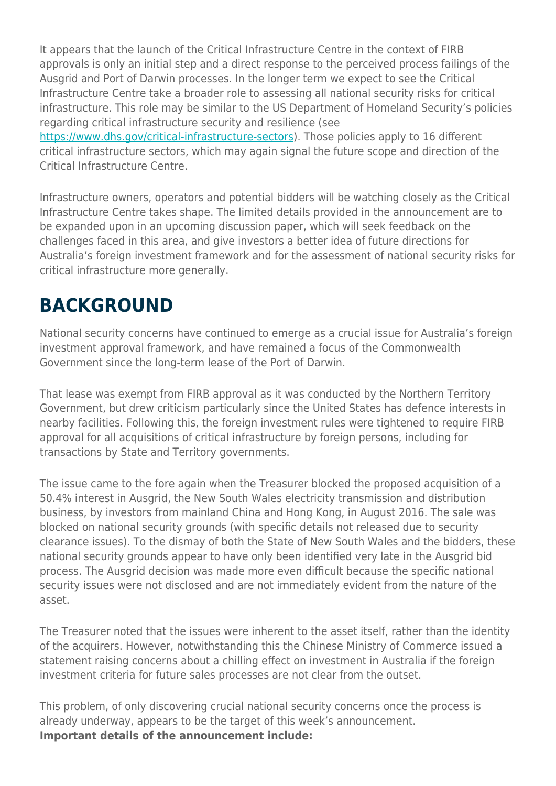It appears that the launch of the Critical Infrastructure Centre in the context of FIRB approvals is only an initial step and a direct response to the perceived process failings of the Ausgrid and Port of Darwin processes. In the longer term we expect to see the Critical Infrastructure Centre take a broader role to assessing all national security risks for critical infrastructure. This role may be similar to the US Department of Homeland Security's policies regarding critical infrastructure security and resilience (see <https://www.dhs.gov/critical-infrastructure-sectors>). Those policies apply to 16 different critical infrastructure sectors, which may again signal the future scope and direction of the Critical Infrastructure Centre.

Infrastructure owners, operators and potential bidders will be watching closely as the Critical Infrastructure Centre takes shape. The limited details provided in the announcement are to be expanded upon in an upcoming discussion paper, which will seek feedback on the challenges faced in this area, and give investors a better idea of future directions for Australia's foreign investment framework and for the assessment of national security risks for critical infrastructure more generally.

#### **BACKGROUND**

National security concerns have continued to emerge as a crucial issue for Australia's foreign investment approval framework, and have remained a focus of the Commonwealth Government since the long-term lease of the Port of Darwin.

That lease was exempt from FIRB approval as it was conducted by the Northern Territory Government, but drew criticism particularly since the United States has defence interests in nearby facilities. Following this, the foreign investment rules were tightened to require FIRB approval for all acquisitions of critical infrastructure by foreign persons, including for transactions by State and Territory governments.

The issue came to the fore again when the Treasurer blocked the proposed acquisition of a 50.4% interest in Ausgrid, the New South Wales electricity transmission and distribution business, by investors from mainland China and Hong Kong, in August 2016. The sale was blocked on national security grounds (with specific details not released due to security clearance issues). To the dismay of both the State of New South Wales and the bidders, these national security grounds appear to have only been identified very late in the Ausgrid bid process. The Ausgrid decision was made more even difficult because the specific national security issues were not disclosed and are not immediately evident from the nature of the asset.

The Treasurer noted that the issues were inherent to the asset itself, rather than the identity of the acquirers. However, notwithstanding this the Chinese Ministry of Commerce issued a statement raising concerns about a chilling effect on investment in Australia if the foreign investment criteria for future sales processes are not clear from the outset.

This problem, of only discovering crucial national security concerns once the process is already underway, appears to be the target of this week's announcement. **Important details of the announcement include:**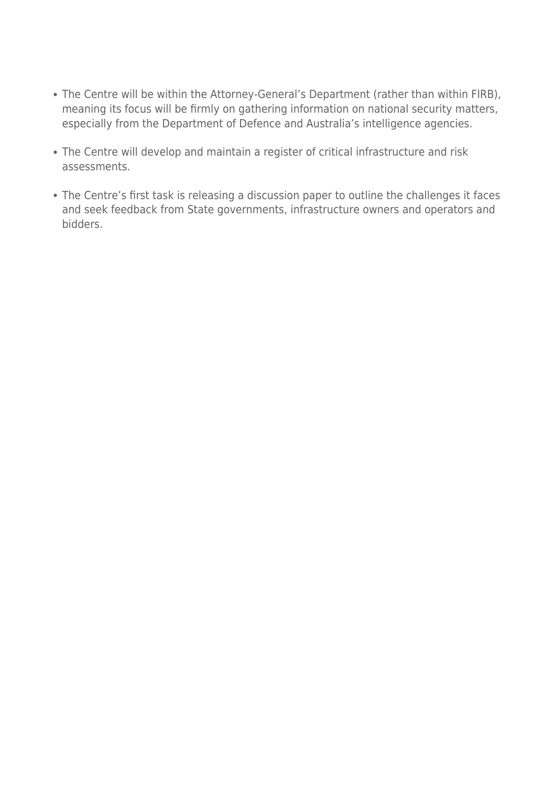- The Centre will be within the Attorney-General's Department (rather than within FIRB), meaning its focus will be firmly on gathering information on national security matters, especially from the Department of Defence and Australia's intelligence agencies.
- The Centre will develop and maintain a register of critical infrastructure and risk assessments.
- The Centre's first task is releasing a discussion paper to outline the challenges it faces and seek feedback from State governments, infrastructure owners and operators and bidders.